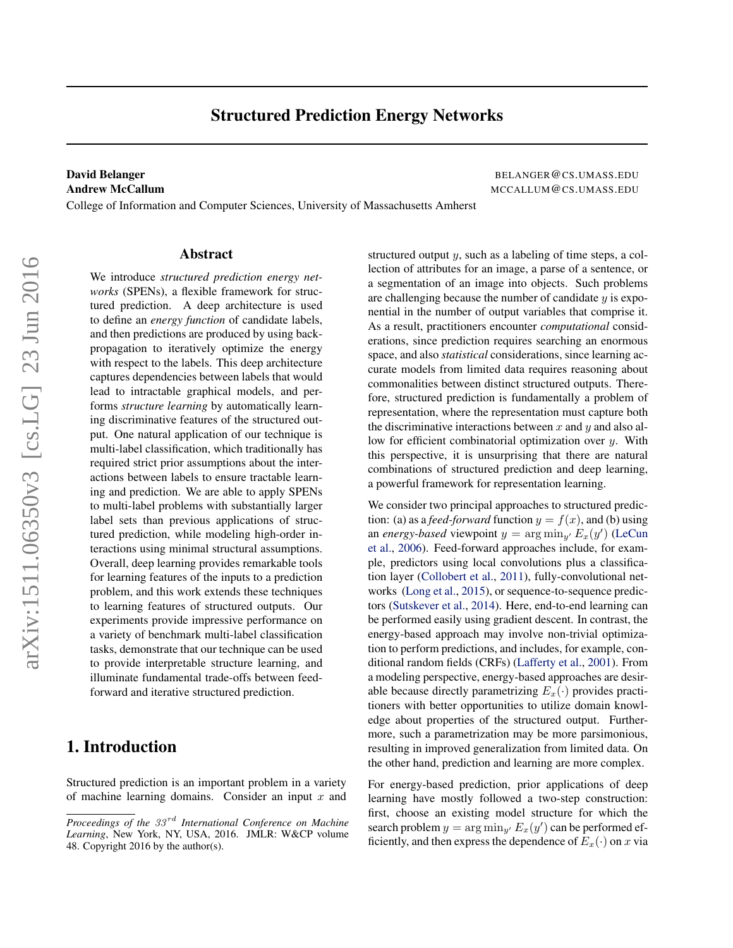# Structured Prediction Energy Networks

# David Belanger BELANGER@CS.UMASS.EDU Andrew McCallum Material Material Control of the MCCALLUM COS.UMASS.EDU

College of Information and Computer Sciences, University of Massachusetts Amherst

We introduce *structured prediction energy networks* (SPENs), a flexible framework for structured prediction. A deep architecture is used to define an *energy function* of candidate labels, and then predictions are produced by using backpropagation to iteratively optimize the energy with respect to the labels. This deep architecture captures dependencies between labels that would lead to intractable graphical models, and performs *structure learning* by automatically learning discriminative features of the structured output. One natural application of our technique is multi-label classification, which traditionally has required strict prior assumptions about the interactions between labels to ensure tractable learning and prediction. We are able to apply SPENs to multi-label problems with substantially larger label sets than previous applications of structured prediction, while modeling high-order interactions using minimal structural assumptions. Overall, deep learning provides remarkable tools for learning features of the inputs to a prediction problem, and this work extends these techniques to learning features of structured outputs. Our experiments provide impressive performance on a variety of benchmark multi-label classification tasks, demonstrate that our technique can be used to provide interpretable structure learning, and illuminate fundamental trade-offs between feedforward and iterative structured prediction.

Abstract

# 1. Introduction

Structured prediction is an important problem in a variety of machine learning domains. Consider an input  $x$  and structured output y, such as a labeling of time steps, a collection of attributes for an image, a parse of a sentence, or a segmentation of an image into objects. Such problems are challenging because the number of candidate  $y$  is exponential in the number of output variables that comprise it. As a result, practitioners encounter *computational* considerations, since prediction requires searching an enormous space, and also *statistical* considerations, since learning accurate models from limited data requires reasoning about commonalities between distinct structured outputs. Therefore, structured prediction is fundamentally a problem of representation, where the representation must capture both the discriminative interactions between  $x$  and  $y$  and also allow for efficient combinatorial optimization over  $y$ . With this perspective, it is unsurprising that there are natural combinations of structured prediction and deep learning, a powerful framework for representation learning.

We consider two principal approaches to structured prediction: (a) as a *feed-forward* function  $y = f(x)$ , and (b) using an *energy-based* viewpoint  $y = \arg \min_{y'} E_x(y')$  [\(LeCun](#page-9-0) [et al.,](#page-9-0) [2006\)](#page-9-0). Feed-forward approaches include, for example, predictors using local convolutions plus a classification layer [\(Collobert et al.,](#page-8-0) [2011\)](#page-8-0), fully-convolutional networks [\(Long et al.,](#page-9-0) [2015\)](#page-9-0), or sequence-to-sequence predictors [\(Sutskever et al.,](#page-9-0) [2014\)](#page-9-0). Here, end-to-end learning can be performed easily using gradient descent. In contrast, the energy-based approach may involve non-trivial optimization to perform predictions, and includes, for example, conditional random fields (CRFs) [\(Lafferty et al.,](#page-9-0) [2001\)](#page-9-0). From a modeling perspective, energy-based approaches are desirable because directly parametrizing  $E_x(\cdot)$  provides practitioners with better opportunities to utilize domain knowledge about properties of the structured output. Furthermore, such a parametrization may be more parsimonious, resulting in improved generalization from limited data. On the other hand, prediction and learning are more complex.

For energy-based prediction, prior applications of deep learning have mostly followed a two-step construction: first, choose an existing model structure for which the search problem  $y = \arg \min_{y'} E_x(y')$  can be performed efficiently, and then express the dependence of  $E_x(\cdot)$  on x via

*Proceedings of the 33<sup>rd</sup> International Conference on Machine Learning*, New York, NY, USA, 2016. JMLR: W&CP volume 48. Copyright 2016 by the author(s).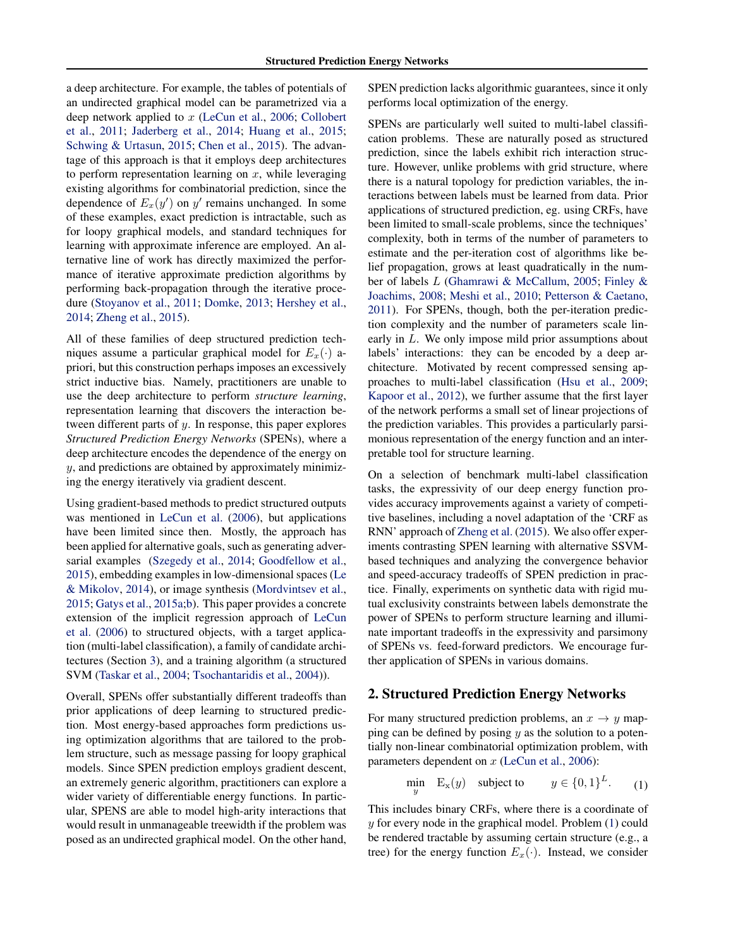<span id="page-1-0"></span>a deep architecture. For example, the tables of potentials of an undirected graphical model can be parametrized via a deep network applied to x [\(LeCun et al.,](#page-9-0) [2006;](#page-9-0) [Collobert](#page-8-0) [et al.,](#page-8-0) [2011;](#page-8-0) [Jaderberg et al.,](#page-8-0) [2014;](#page-8-0) [Huang et al.,](#page-8-0) [2015;](#page-8-0) [Schwing & Urtasun,](#page-9-0) [2015;](#page-9-0) [Chen et al.,](#page-8-0) [2015\)](#page-8-0). The advantage of this approach is that it employs deep architectures to perform representation learning on  $x$ , while leveraging existing algorithms for combinatorial prediction, since the dependence of  $E_x(y')$  on y' remains unchanged. In some of these examples, exact prediction is intractable, such as for loopy graphical models, and standard techniques for learning with approximate inference are employed. An alternative line of work has directly maximized the performance of iterative approximate prediction algorithms by performing back-propagation through the iterative procedure [\(Stoyanov et al.,](#page-9-0) [2011;](#page-9-0) [Domke,](#page-8-0) [2013;](#page-8-0) [Hershey et al.,](#page-8-0) [2014;](#page-8-0) [Zheng et al.,](#page-9-0) [2015\)](#page-9-0).

All of these families of deep structured prediction techniques assume a particular graphical model for  $E_x(\cdot)$  apriori, but this construction perhaps imposes an excessively strict inductive bias. Namely, practitioners are unable to use the deep architecture to perform *structure learning*, representation learning that discovers the interaction between different parts of y. In response, this paper explores *Structured Prediction Energy Networks* (SPENs), where a deep architecture encodes the dependence of the energy on  $y$ , and predictions are obtained by approximately minimizing the energy iteratively via gradient descent.

Using gradient-based methods to predict structured outputs was mentioned in [LeCun et al.](#page-9-0) [\(2006\)](#page-9-0), but applications have been limited since then. Mostly, the approach has been applied for alternative goals, such as generating adversarial examples [\(Szegedy et al.,](#page-9-0) [2014;](#page-9-0) [Goodfellow et al.,](#page-8-0) [2015\)](#page-8-0), embedding examples in low-dimensional spaces [\(Le](#page-9-0) [& Mikolov,](#page-9-0) [2014\)](#page-9-0), or image synthesis [\(Mordvintsev et al.,](#page-9-0) [2015;](#page-9-0) [Gatys et al.,](#page-8-0) [2015a;b\)](#page-8-0). This paper provides a concrete extension of the implicit regression approach of [LeCun](#page-9-0) [et al.](#page-9-0) [\(2006\)](#page-9-0) to structured objects, with a target application (multi-label classification), a family of candidate architectures (Section [3\)](#page-2-0), and a training algorithm (a structured SVM [\(Taskar et al.,](#page-9-0) [2004;](#page-9-0) [Tsochantaridis et al.,](#page-9-0) [2004\)](#page-9-0)).

Overall, SPENs offer substantially different tradeoffs than prior applications of deep learning to structured prediction. Most energy-based approaches form predictions using optimization algorithms that are tailored to the problem structure, such as message passing for loopy graphical models. Since SPEN prediction employs gradient descent, an extremely generic algorithm, practitioners can explore a wider variety of differentiable energy functions. In particular, SPENS are able to model high-arity interactions that would result in unmanageable treewidth if the problem was posed as an undirected graphical model. On the other hand, SPEN prediction lacks algorithmic guarantees, since it only performs local optimization of the energy.

SPENs are particularly well suited to multi-label classification problems. These are naturally posed as structured prediction, since the labels exhibit rich interaction structure. However, unlike problems with grid structure, where there is a natural topology for prediction variables, the interactions between labels must be learned from data. Prior applications of structured prediction, eg. using CRFs, have been limited to small-scale problems, since the techniques' complexity, both in terms of the number of parameters to estimate and the per-iteration cost of algorithms like belief propagation, grows at least quadratically in the number of labels L [\(Ghamrawi & McCallum,](#page-8-0) [2005;](#page-8-0) [Finley &](#page-8-0) [Joachims,](#page-8-0) [2008;](#page-8-0) [Meshi et al.,](#page-9-0) [2010;](#page-9-0) [Petterson & Caetano,](#page-9-0) [2011\)](#page-9-0). For SPENs, though, both the per-iteration prediction complexity and the number of parameters scale linearly in L. We only impose mild prior assumptions about labels' interactions: they can be encoded by a deep architecture. Motivated by recent compressed sensing approaches to multi-label classification [\(Hsu et al.,](#page-8-0) [2009;](#page-8-0) [Kapoor et al.,](#page-9-0) [2012\)](#page-9-0), we further assume that the first layer of the network performs a small set of linear projections of the prediction variables. This provides a particularly parsimonious representation of the energy function and an interpretable tool for structure learning.

On a selection of benchmark multi-label classification tasks, the expressivity of our deep energy function provides accuracy improvements against a variety of competitive baselines, including a novel adaptation of the 'CRF as RNN' approach of [Zheng et al.](#page-9-0) [\(2015\)](#page-9-0). We also offer experiments contrasting SPEN learning with alternative SSVMbased techniques and analyzing the convergence behavior and speed-accuracy tradeoffs of SPEN prediction in practice. Finally, experiments on synthetic data with rigid mutual exclusivity constraints between labels demonstrate the power of SPENs to perform structure learning and illuminate important tradeoffs in the expressivity and parsimony of SPENs vs. feed-forward predictors. We encourage further application of SPENs in various domains.

## 2. Structured Prediction Energy Networks

For many structured prediction problems, an  $x \to y$  mapping can be defined by posing  $y$  as the solution to a potentially non-linear combinatorial optimization problem, with parameters dependent on  $x$  [\(LeCun et al.,](#page-9-0) [2006\)](#page-9-0):

$$
\min_{y} \quad \mathbf{E}_{\mathbf{x}}(y) \quad \text{subject to} \qquad y \in \{0, 1\}^{L}. \tag{1}
$$

This includes binary CRFs, where there is a coordinate of y for every node in the graphical model. Problem (1) could be rendered tractable by assuming certain structure (e.g., a tree) for the energy function  $E_x(\cdot)$ . Instead, we consider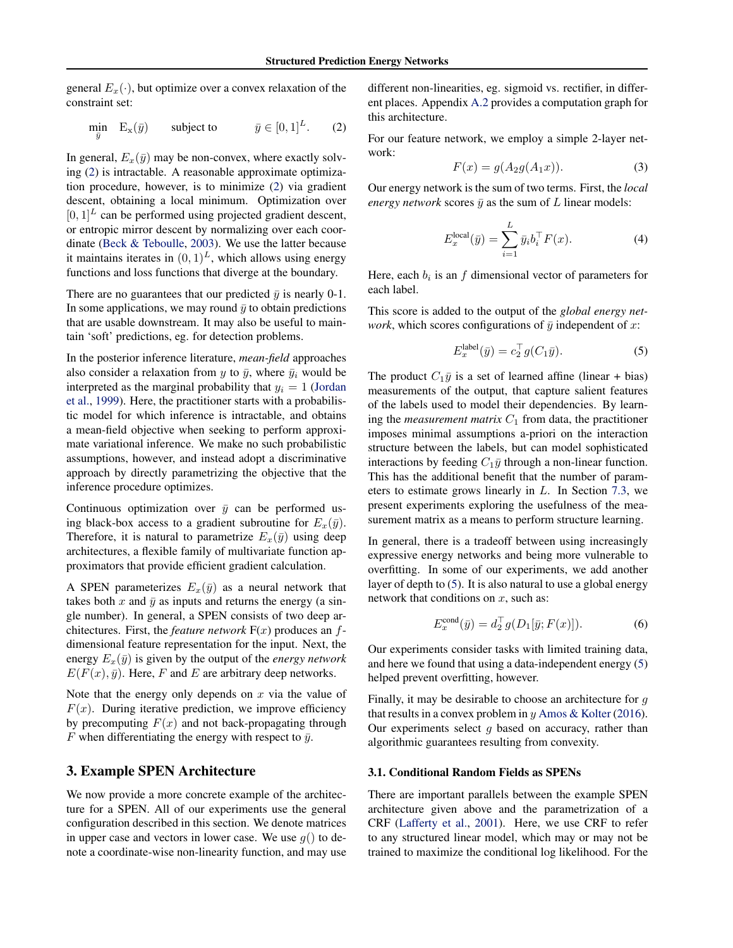<span id="page-2-0"></span>general  $E_x(\cdot)$ , but optimize over a convex relaxation of the constraint set:

$$
\min_{\bar{y}} \quad \mathbf{E}_{\mathbf{x}}(\bar{y}) \qquad \text{subject to} \qquad \bar{y} \in [0, 1]^L. \tag{2}
$$

In general,  $E_x(\bar{y})$  may be non-convex, where exactly solving (2) is intractable. A reasonable approximate optimization procedure, however, is to minimize (2) via gradient descent, obtaining a local minimum. Optimization over  $[0, 1]^L$  can be performed using projected gradient descent, or entropic mirror descent by normalizing over each coordinate [\(Beck & Teboulle,](#page-8-0) [2003\)](#page-8-0). We use the latter because it maintains iterates in  $(0, 1)^L$ , which allows using energy functions and loss functions that diverge at the boundary.

There are no guarantees that our predicted  $\bar{y}$  is nearly 0-1. In some applications, we may round  $\bar{y}$  to obtain predictions that are usable downstream. It may also be useful to maintain 'soft' predictions, eg. for detection problems.

In the posterior inference literature, *mean-field* approaches also consider a relaxation from y to  $\bar{y}$ , where  $\bar{y}_i$  would be interpreted as the marginal probability that  $y_i = 1$  [\(Jordan](#page-8-0) [et al.,](#page-8-0) [1999\)](#page-8-0). Here, the practitioner starts with a probabilistic model for which inference is intractable, and obtains a mean-field objective when seeking to perform approximate variational inference. We make no such probabilistic assumptions, however, and instead adopt a discriminative approach by directly parametrizing the objective that the inference procedure optimizes.

Continuous optimization over  $\bar{y}$  can be performed using black-box access to a gradient subroutine for  $E_x(\bar{y})$ . Therefore, it is natural to parametrize  $E_x(\bar{y})$  using deep architectures, a flexible family of multivariate function approximators that provide efficient gradient calculation.

A SPEN parameterizes  $E_x(\bar{y})$  as a neural network that takes both x and  $\bar{y}$  as inputs and returns the energy (a single number). In general, a SPEN consists of two deep architectures. First, the *feature network*  $F(x)$  produces an  $f$ dimensional feature representation for the input. Next, the energy  $E_x(\bar{y})$  is given by the output of the *energy network*  $E(F(x), \bar{y})$ . Here, F and E are arbitrary deep networks.

Note that the energy only depends on  $x$  via the value of  $F(x)$ . During iterative prediction, we improve efficiency by precomputing  $F(x)$  and not back-propagating through F when differentiating the energy with respect to  $\bar{y}$ .

## 3. Example SPEN Architecture

We now provide a more concrete example of the architecture for a SPEN. All of our experiments use the general configuration described in this section. We denote matrices in upper case and vectors in lower case. We use  $q()$  to denote a coordinate-wise non-linearity function, and may use

different non-linearities, eg. sigmoid vs. rectifier, in different places. Appendix [A.2](#page-10-0) provides a computation graph for this architecture.

For our feature network, we employ a simple 2-layer network:

$$
F(x) = g(A_2g(A_1x)).\tag{3}
$$

Our energy network is the sum of two terms. First, the *local energy network* scores  $\bar{y}$  as the sum of L linear models:

$$
E_x^{\text{local}}(\bar{y}) = \sum_{i=1}^{L} \bar{y}_i b_i^{\top} F(x). \tag{4}
$$

Here, each  $b_i$  is an f dimensional vector of parameters for each label.

This score is added to the output of the *global energy network*, which scores configurations of  $\bar{y}$  independent of x:

$$
E_x^{\text{label}}(\bar{y}) = c_2^{\top} g(C_1 \bar{y}).\tag{5}
$$

The product  $C_1\bar{y}$  is a set of learned affine (linear + bias) measurements of the output, that capture salient features of the labels used to model their dependencies. By learning the *measurement matrix*  $C_1$  from data, the practitioner imposes minimal assumptions a-priori on the interaction structure between the labels, but can model sophisticated interactions by feeding  $C_1\bar{y}$  through a non-linear function. This has the additional benefit that the number of parameters to estimate grows linearly in L. In Section [7.3,](#page-6-0) we present experiments exploring the usefulness of the measurement matrix as a means to perform structure learning.

In general, there is a tradeoff between using increasingly expressive energy networks and being more vulnerable to overfitting. In some of our experiments, we add another layer of depth to (5). It is also natural to use a global energy network that conditions on  $x$ , such as:

$$
E_x^{\text{cond}}(\bar{y}) = d_2^{\top} g(D_1[\bar{y}; F(x)]). \tag{6}
$$

Our experiments consider tasks with limited training data, and here we found that using a data-independent energy (5) helped prevent overfitting, however.

Finally, it may be desirable to choose an architecture for g that results in a convex problem in  $\psi$  [Amos & Kolter](#page-8-0) [\(2016\)](#page-8-0). Our experiments select  $q$  based on accuracy, rather than algorithmic guarantees resulting from convexity.

#### 3.1. Conditional Random Fields as SPENs

There are important parallels between the example SPEN architecture given above and the parametrization of a CRF [\(Lafferty et al.,](#page-9-0) [2001\)](#page-9-0). Here, we use CRF to refer to any structured linear model, which may or may not be trained to maximize the conditional log likelihood. For the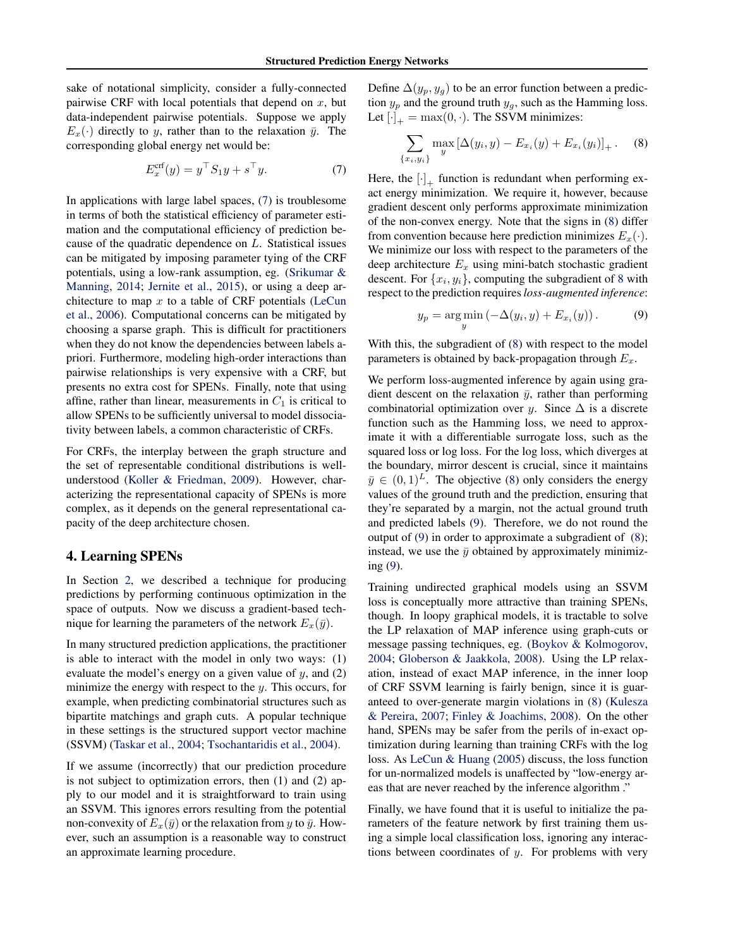<span id="page-3-0"></span>sake of notational simplicity, consider a fully-connected pairwise CRF with local potentials that depend on  $x$ , but data-independent pairwise potentials. Suppose we apply  $E_x(\cdot)$  directly to y, rather than to the relaxation  $\bar{y}$ . The corresponding global energy net would be:

$$
E_x^{\text{crf}}(y) = y^\top S_1 y + s^\top y. \tag{7}
$$

In applications with large label spaces, (7) is troublesome in terms of both the statistical efficiency of parameter estimation and the computational efficiency of prediction because of the quadratic dependence on L. Statistical issues can be mitigated by imposing parameter tying of the CRF potentials, using a low-rank assumption, eg. [\(Srikumar &](#page-9-0) [Manning,](#page-9-0) [2014;](#page-9-0) [Jernite et al.,](#page-8-0) [2015\)](#page-8-0), or using a deep architecture to map  $x$  to a table of CRF potentials [\(LeCun](#page-9-0) [et al.,](#page-9-0) [2006\)](#page-9-0). Computational concerns can be mitigated by choosing a sparse graph. This is difficult for practitioners when they do not know the dependencies between labels apriori. Furthermore, modeling high-order interactions than pairwise relationships is very expensive with a CRF, but presents no extra cost for SPENs. Finally, note that using affine, rather than linear, measurements in  $C_1$  is critical to allow SPENs to be sufficiently universal to model dissociativity between labels, a common characteristic of CRFs.

For CRFs, the interplay between the graph structure and the set of representable conditional distributions is wellunderstood [\(Koller & Friedman,](#page-9-0) [2009\)](#page-9-0). However, characterizing the representational capacity of SPENs is more complex, as it depends on the general representational capacity of the deep architecture chosen.

# 4. Learning SPENs

In Section [2,](#page-1-0) we described a technique for producing predictions by performing continuous optimization in the space of outputs. Now we discuss a gradient-based technique for learning the parameters of the network  $E_x(\bar{y})$ .

In many structured prediction applications, the practitioner is able to interact with the model in only two ways: (1) evaluate the model's energy on a given value of  $y$ , and  $(2)$ minimize the energy with respect to the  $y$ . This occurs, for example, when predicting combinatorial structures such as bipartite matchings and graph cuts. A popular technique in these settings is the structured support vector machine (SSVM) [\(Taskar et al.,](#page-9-0) [2004;](#page-9-0) [Tsochantaridis et al.,](#page-9-0) [2004\)](#page-9-0).

If we assume (incorrectly) that our prediction procedure is not subject to optimization errors, then (1) and (2) apply to our model and it is straightforward to train using an SSVM. This ignores errors resulting from the potential non-convexity of  $E_x(\bar{y})$  or the relaxation from y to  $\bar{y}$ . However, such an assumption is a reasonable way to construct an approximate learning procedure.

Define  $\Delta(y_p, y_q)$  to be an error function between a prediction  $y_p$  and the ground truth  $y_q$ , such as the Hamming loss. Let  $[\cdot]_+$  = max $(0, \cdot)$ . The SSVM minimizes:

$$
\sum_{\{x_i, y_i\}} \max_{y} \left[ \Delta(y_i, y) - E_{x_i}(y) + E_{x_i}(y_i) \right]_+ .
$$
 (8)

Here, the  $[\cdot]_+$  function is redundant when performing exact energy minimization. We require it, however, because gradient descent only performs approximate minimization of the non-convex energy. Note that the signs in (8) differ from convention because here prediction minimizes  $E_x(\cdot)$ . We minimize our loss with respect to the parameters of the deep architecture  $E_x$  using mini-batch stochastic gradient descent. For  $\{x_i, y_i\}$ , computing the subgradient of 8 with respect to the prediction requires*loss-augmented inference*:

$$
y_p = \underset{y}{\text{arg min}} \left( -\Delta(y_i, y) + E_{x_i}(y) \right). \tag{9}
$$

With this, the subgradient of (8) with respect to the model parameters is obtained by back-propagation through  $E_x$ .

We perform loss-augmented inference by again using gradient descent on the relaxation  $\bar{y}$ , rather than performing combinatorial optimization over y. Since  $\Delta$  is a discrete function such as the Hamming loss, we need to approximate it with a differentiable surrogate loss, such as the squared loss or log loss. For the log loss, which diverges at the boundary, mirror descent is crucial, since it maintains  $\bar{y} \in (0, 1)^L$ . The objective (8) only considers the energy values of the ground truth and the prediction, ensuring that they're separated by a margin, not the actual ground truth and predicted labels (9). Therefore, we do not round the output of (9) in order to approximate a subgradient of (8); instead, we use the  $\bar{y}$  obtained by approximately minimizing (9).

Training undirected graphical models using an SSVM loss is conceptually more attractive than training SPENs, though. In loopy graphical models, it is tractable to solve the LP relaxation of MAP inference using graph-cuts or message passing techniques, eg. [\(Boykov & Kolmogorov,](#page-8-0) [2004;](#page-8-0) [Globerson & Jaakkola,](#page-8-0) [2008\)](#page-8-0). Using the LP relaxation, instead of exact MAP inference, in the inner loop of CRF SSVM learning is fairly benign, since it is guaranteed to over-generate margin violations in (8) [\(Kulesza](#page-9-0) [& Pereira,](#page-9-0) [2007;](#page-9-0) [Finley & Joachims,](#page-8-0) [2008\)](#page-8-0). On the other hand, SPENs may be safer from the perils of in-exact optimization during learning than training CRFs with the log loss. As [LeCun & Huang](#page-9-0) [\(2005\)](#page-9-0) discuss, the loss function for un-normalized models is unaffected by "low-energy areas that are never reached by the inference algorithm ."

Finally, we have found that it is useful to initialize the parameters of the feature network by first training them using a simple local classification loss, ignoring any interactions between coordinates of  $y$ . For problems with very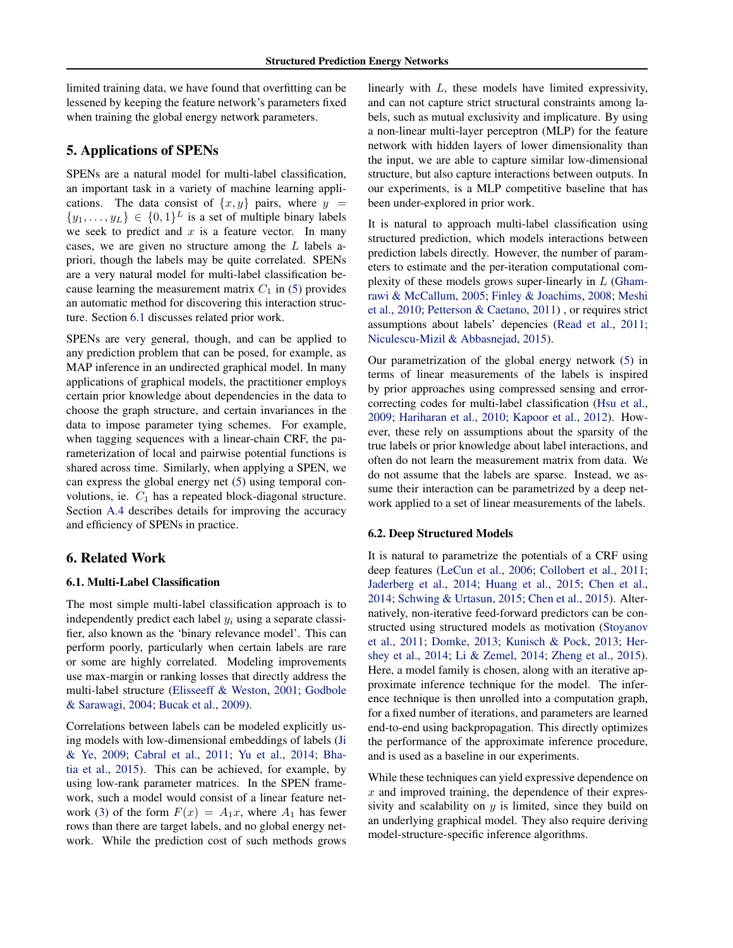<span id="page-4-0"></span>limited training data, we have found that overfitting can be lessened by keeping the feature network's parameters fixed when training the global energy network parameters.

# 5. Applications of SPENs

SPENs are a natural model for multi-label classification, an important task in a variety of machine learning applications. The data consist of  $\{x, y\}$  pairs, where  $y =$  $\{y_1, \ldots, y_L\} \in \{0,1\}^L$  is a set of multiple binary labels we seek to predict and  $x$  is a feature vector. In many cases, we are given no structure among the L labels apriori, though the labels may be quite correlated. SPENs are a very natural model for multi-label classification because learning the measurement matrix  $C_1$  in [\(5\)](#page-2-0) provides an automatic method for discovering this interaction structure. Section 6.1 discusses related prior work.

SPENs are very general, though, and can be applied to any prediction problem that can be posed, for example, as MAP inference in an undirected graphical model. In many applications of graphical models, the practitioner employs certain prior knowledge about dependencies in the data to choose the graph structure, and certain invariances in the data to impose parameter tying schemes. For example, when tagging sequences with a linear-chain CRF, the parameterization of local and pairwise potential functions is shared across time. Similarly, when applying a SPEN, we can express the global energy net [\(5\)](#page-2-0) using temporal convolutions, ie.  $C_1$  has a repeated block-diagonal structure. Section [A.4](#page-11-0) describes details for improving the accuracy and efficiency of SPENs in practice.

### 6. Related Work

#### 6.1. Multi-Label Classification

The most simple multi-label classification approach is to independently predict each label  $y_i$  using a separate classifier, also known as the 'binary relevance model'. This can perform poorly, particularly when certain labels are rare or some are highly correlated. Modeling improvements use max-margin or ranking losses that directly address the multi-label structure [\(Elisseeff & Weston,](#page-8-0) [2001;](#page-8-0) [Godbole](#page-8-0) [& Sarawagi,](#page-8-0) [2004;](#page-8-0) [Bucak et al.,](#page-8-0) [2009\)](#page-8-0).

Correlations between labels can be modeled explicitly using models with low-dimensional embeddings of labels [\(Ji](#page-8-0) [& Ye,](#page-8-0) [2009;](#page-8-0) [Cabral et al.,](#page-8-0) [2011;](#page-8-0) [Yu et al.,](#page-9-0) [2014;](#page-9-0) [Bha](#page-8-0)[tia et al.,](#page-8-0) [2015\)](#page-8-0). This can be achieved, for example, by using low-rank parameter matrices. In the SPEN framework, such a model would consist of a linear feature net-work [\(3\)](#page-2-0) of the form  $F(x) = A_1x$ , where  $A_1$  has fewer rows than there are target labels, and no global energy network. While the prediction cost of such methods grows linearly with L, these models have limited expressivity, and can not capture strict structural constraints among labels, such as mutual exclusivity and implicature. By using a non-linear multi-layer perceptron (MLP) for the feature network with hidden layers of lower dimensionality than the input, we are able to capture similar low-dimensional structure, but also capture interactions between outputs. In our experiments, is a MLP competitive baseline that has been under-explored in prior work.

It is natural to approach multi-label classification using structured prediction, which models interactions between prediction labels directly. However, the number of parameters to estimate and the per-iteration computational complexity of these models grows super-linearly in  $L$  [\(Gham](#page-8-0)[rawi & McCallum,](#page-8-0) [2005;](#page-8-0) [Finley & Joachims,](#page-8-0) [2008;](#page-8-0) [Meshi](#page-9-0) [et al.,](#page-9-0) [2010;](#page-9-0) [Petterson & Caetano,](#page-9-0) [2011\)](#page-9-0) , or requires strict assumptions about labels' depencies [\(Read et al.,](#page-9-0) [2011;](#page-9-0) [Niculescu-Mizil & Abbasnejad,](#page-9-0) [2015\)](#page-9-0).

Our parametrization of the global energy network [\(5\)](#page-2-0) in terms of linear measurements of the labels is inspired by prior approaches using compressed sensing and errorcorrecting codes for multi-label classification [\(Hsu et al.,](#page-8-0) [2009;](#page-8-0) [Hariharan et al.,](#page-8-0) [2010;](#page-8-0) [Kapoor et al.,](#page-9-0) [2012\)](#page-9-0). However, these rely on assumptions about the sparsity of the true labels or prior knowledge about label interactions, and often do not learn the measurement matrix from data. We do not assume that the labels are sparse. Instead, we assume their interaction can be parametrized by a deep network applied to a set of linear measurements of the labels.

#### 6.2. Deep Structured Models

It is natural to parametrize the potentials of a CRF using deep features [\(LeCun et al.,](#page-9-0) [2006;](#page-9-0) [Collobert et al.,](#page-8-0) [2011;](#page-8-0) [Jaderberg et al.,](#page-8-0) [2014;](#page-8-0) [Huang et al.,](#page-8-0) [2015;](#page-8-0) [Chen et al.,](#page-8-0) [2014;](#page-8-0) [Schwing & Urtasun,](#page-9-0) [2015;](#page-9-0) [Chen et al.,](#page-8-0) [2015\)](#page-8-0). Alternatively, non-iterative feed-forward predictors can be constructed using structured models as motivation [\(Stoyanov](#page-9-0) [et al.,](#page-9-0) [2011;](#page-9-0) [Domke,](#page-8-0) [2013;](#page-8-0) [Kunisch & Pock,](#page-9-0) [2013;](#page-9-0) [Her](#page-8-0)[shey et al.,](#page-8-0) [2014;](#page-8-0) [Li & Zemel,](#page-9-0) [2014;](#page-9-0) [Zheng et al.,](#page-9-0) [2015\)](#page-9-0). Here, a model family is chosen, along with an iterative approximate inference technique for the model. The inference technique is then unrolled into a computation graph, for a fixed number of iterations, and parameters are learned end-to-end using backpropagation. This directly optimizes the performance of the approximate inference procedure, and is used as a baseline in our experiments.

While these techniques can yield expressive dependence on  $x$  and improved training, the dependence of their expressivity and scalability on  $y$  is limited, since they build on an underlying graphical model. They also require deriving model-structure-specific inference algorithms.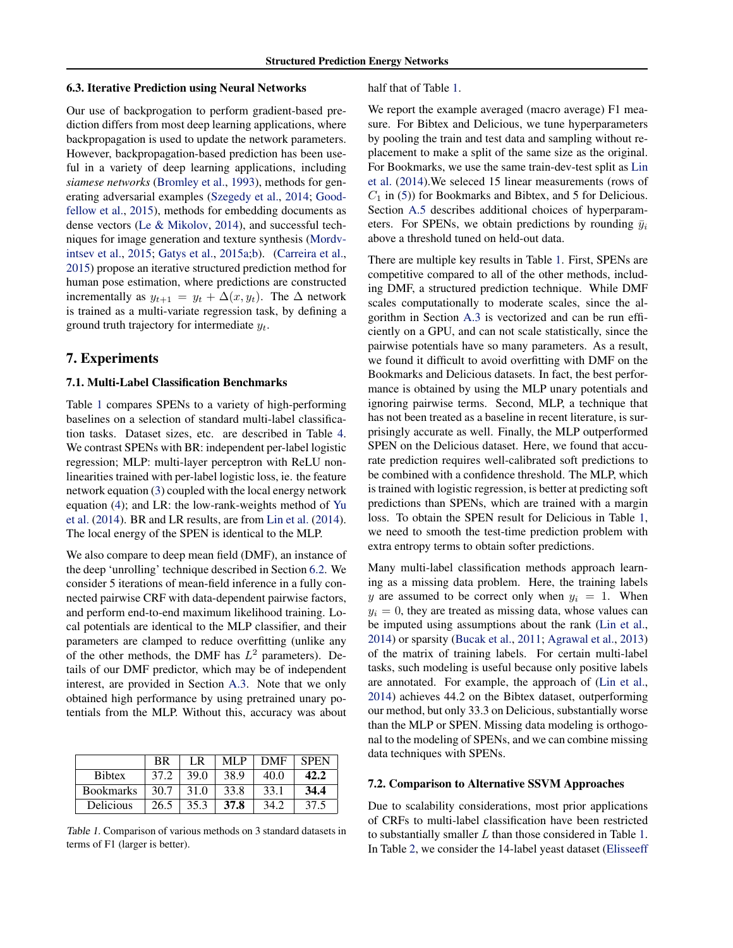#### <span id="page-5-0"></span>6.3. Iterative Prediction using Neural Networks

Our use of backprogation to perform gradient-based prediction differs from most deep learning applications, where backpropagation is used to update the network parameters. However, backpropagation-based prediction has been useful in a variety of deep learning applications, including *siamese networks* [\(Bromley et al.,](#page-8-0) [1993\)](#page-8-0), methods for generating adversarial examples [\(Szegedy et al.,](#page-9-0) [2014;](#page-9-0) [Good](#page-8-0)[fellow et al.,](#page-8-0) [2015\)](#page-8-0), methods for embedding documents as dense vectors [\(Le & Mikolov,](#page-9-0) [2014\)](#page-9-0), and successful techniques for image generation and texture synthesis [\(Mordv](#page-9-0)[intsev et al.,](#page-9-0) [2015;](#page-9-0) [Gatys et al.,](#page-8-0) [2015a;b\)](#page-8-0). [\(Carreira et al.,](#page-8-0) [2015\)](#page-8-0) propose an iterative structured prediction method for human pose estimation, where predictions are constructed incrementally as  $y_{t+1} = y_t + \Delta(x, y_t)$ . The  $\Delta$  network is trained as a multi-variate regression task, by defining a ground truth trajectory for intermediate  $y_t$ .

#### 7. Experiments

#### 7.1. Multi-Label Classification Benchmarks

Table 1 compares SPENs to a variety of high-performing baselines on a selection of standard multi-label classification tasks. Dataset sizes, etc. are described in Table [4.](#page-11-0) We contrast SPENs with BR: independent per-label logistic regression; MLP: multi-layer perceptron with ReLU nonlinearities trained with per-label logistic loss, ie. the feature network equation [\(3\)](#page-2-0) coupled with the local energy network equation [\(4\)](#page-2-0); and LR: the low-rank-weights method of [Yu](#page-9-0) [et al.](#page-9-0) [\(2014\)](#page-9-0). BR and LR results, are from [Lin et al.](#page-9-0) [\(2014\)](#page-9-0). The local energy of the SPEN is identical to the MLP.

We also compare to deep mean field (DMF), an instance of the deep 'unrolling' technique described in Section [6.2.](#page-4-0) We consider 5 iterations of mean-field inference in a fully connected pairwise CRF with data-dependent pairwise factors, and perform end-to-end maximum likelihood training. Local potentials are identical to the MLP classifier, and their parameters are clamped to reduce overfitting (unlike any of the other methods, the DMF has  $L^2$  parameters). Details of our DMF predictor, which may be of independent interest, are provided in Section [A.3.](#page-10-0) Note that we only obtained high performance by using pretrained unary potentials from the MLP. Without this, accuracy was about

|                  | BR   | I R  | MLP  | <b>DMF</b> | <b>SPEN</b> |
|------------------|------|------|------|------------|-------------|
| <b>Bibtex</b>    | 37.2 | 39.0 | 38.9 | 40.0       | 42.2        |
| <b>Bookmarks</b> | 30.7 | 31.0 | 33.8 | 33.1       | 34.4        |
| Delicious        | 26.5 | 35.3 | 37.8 | 34.2       | 37.5        |

Table 1. Comparison of various methods on 3 standard datasets in terms of F1 (larger is better).

half that of Table 1.

We report the example averaged (macro average) F1 measure. For Bibtex and Delicious, we tune hyperparameters by pooling the train and test data and sampling without replacement to make a split of the same size as the original. For Bookmarks, we use the same train-dev-test split as [Lin](#page-9-0) [et al.](#page-9-0) [\(2014\)](#page-9-0).We seleced 15 linear measurements (rows of  $C_1$  in [\(5\)](#page-2-0)) for Bookmarks and Bibtex, and 5 for Delicious. Section [A.5](#page-11-0) describes additional choices of hyperparameters. For SPENs, we obtain predictions by rounding  $\bar{y}_i$ above a threshold tuned on held-out data.

There are multiple key results in Table 1. First, SPENs are competitive compared to all of the other methods, including DMF, a structured prediction technique. While DMF scales computationally to moderate scales, since the algorithm in Section [A.3](#page-10-0) is vectorized and can be run efficiently on a GPU, and can not scale statistically, since the pairwise potentials have so many parameters. As a result, we found it difficult to avoid overfitting with DMF on the Bookmarks and Delicious datasets. In fact, the best performance is obtained by using the MLP unary potentials and ignoring pairwise terms. Second, MLP, a technique that has not been treated as a baseline in recent literature, is surprisingly accurate as well. Finally, the MLP outperformed SPEN on the Delicious dataset. Here, we found that accurate prediction requires well-calibrated soft predictions to be combined with a confidence threshold. The MLP, which is trained with logistic regression, is better at predicting soft predictions than SPENs, which are trained with a margin loss. To obtain the SPEN result for Delicious in Table 1, we need to smooth the test-time prediction problem with extra entropy terms to obtain softer predictions.

Many multi-label classification methods approach learning as a missing data problem. Here, the training labels y are assumed to be correct only when  $y_i = 1$ . When  $y_i = 0$ , they are treated as missing data, whose values can be imputed using assumptions about the rank [\(Lin et al.,](#page-9-0) [2014\)](#page-9-0) or sparsity [\(Bucak et al.,](#page-8-0) [2011;](#page-8-0) [Agrawal et al.,](#page-8-0) [2013\)](#page-8-0) of the matrix of training labels. For certain multi-label tasks, such modeling is useful because only positive labels are annotated. For example, the approach of [\(Lin et al.,](#page-9-0) [2014\)](#page-9-0) achieves 44.2 on the Bibtex dataset, outperforming our method, but only 33.3 on Delicious, substantially worse than the MLP or SPEN. Missing data modeling is orthogonal to the modeling of SPENs, and we can combine missing data techniques with SPENs.

## 7.2. Comparison to Alternative SSVM Approaches

Due to scalability considerations, most prior applications of CRFs to multi-label classification have been restricted to substantially smaller L than those considered in Table 1. In Table [2,](#page-6-0) [we consider the 14-label yeast dataset \(Elisseeff](#page-8-0)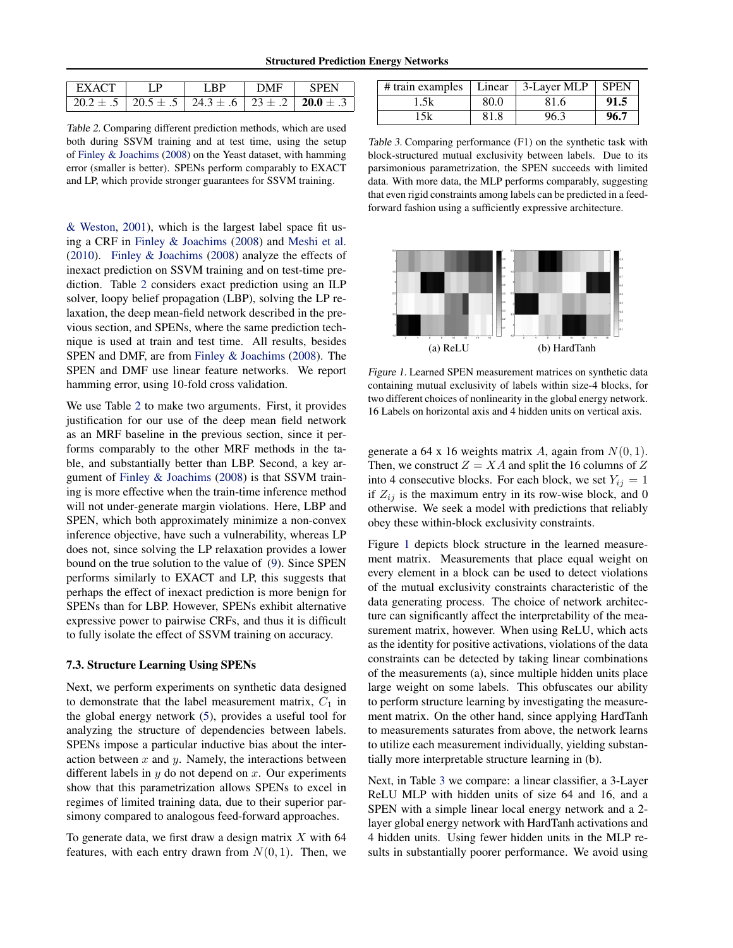<span id="page-6-0"></span>

| ∣ EXACT                                                 | $\mathbf{LP}$ | <b>IRP</b> | <b>DMF</b> | – SPFN |
|---------------------------------------------------------|---------------|------------|------------|--------|
| 20.2 ± .5   20.5 ± .5   24.3 ± .6   23 ± .2   20.0 ± .3 |               |            |            |        |

Table 2. Comparing different prediction methods, which are used both during SSVM training and at test time, using the setup of [Finley & Joachims](#page-8-0) [\(2008\)](#page-8-0) on the Yeast dataset, with hamming error (smaller is better). SPENs perform comparably to EXACT and LP, which provide stronger guarantees for SSVM training.

[& Weston,](#page-8-0) [2001\)](#page-8-0), which is the largest label space fit using a CRF in [Finley & Joachims](#page-8-0) [\(2008\)](#page-8-0) and [Meshi et al.](#page-9-0) [\(2010\)](#page-9-0). [Finley & Joachims](#page-8-0) [\(2008\)](#page-8-0) analyze the effects of inexact prediction on SSVM training and on test-time prediction. Table 2 considers exact prediction using an ILP solver, loopy belief propagation (LBP), solving the LP relaxation, the deep mean-field network described in the previous section, and SPENs, where the same prediction technique is used at train and test time. All results, besides SPEN and DMF, are from [Finley & Joachims](#page-8-0) [\(2008\)](#page-8-0). The SPEN and DMF use linear feature networks. We report hamming error, using 10-fold cross validation.

We use Table 2 to make two arguments. First, it provides justification for our use of the deep mean field network as an MRF baseline in the previous section, since it performs comparably to the other MRF methods in the table, and substantially better than LBP. Second, a key argument of [Finley & Joachims](#page-8-0) [\(2008\)](#page-8-0) is that SSVM training is more effective when the train-time inference method will not under-generate margin violations. Here, LBP and SPEN, which both approximately minimize a non-convex inference objective, have such a vulnerability, whereas LP does not, since solving the LP relaxation provides a lower bound on the true solution to the value of [\(9\)](#page-3-0). Since SPEN performs similarly to EXACT and LP, this suggests that perhaps the effect of inexact prediction is more benign for SPENs than for LBP. However, SPENs exhibit alternative expressive power to pairwise CRFs, and thus it is difficult to fully isolate the effect of SSVM training on accuracy.

#### 7.3. Structure Learning Using SPENs

Next, we perform experiments on synthetic data designed to demonstrate that the label measurement matrix,  $C_1$  in the global energy network [\(5\)](#page-2-0), provides a useful tool for analyzing the structure of dependencies between labels. SPENs impose a particular inductive bias about the interaction between  $x$  and  $y$ . Namely, the interactions between different labels in  $y$  do not depend on  $x$ . Our experiments show that this parametrization allows SPENs to excel in regimes of limited training data, due to their superior parsimony compared to analogous feed-forward approaches.

To generate data, we first draw a design matrix  $X$  with 64 features, with each entry drawn from  $N(0, 1)$ . Then, we

| $\#$ train examples   Linear |      | 3-Layer MLP $\vert$ SPEN |      |
|------------------------------|------|--------------------------|------|
| l .5k                        | 80.0 | 81.6                     | 91.5 |
| $-5k$                        | 81.8 | 96.3                     | 96.7 |

Table 3. Comparing performance (F1) on the synthetic task with block-structured mutual exclusivity between labels. Due to its parsimonious parametrization, the SPEN succeeds with limited data. With more data, the MLP performs comparably, suggesting that even rigid constraints among labels can be predicted in a feedforward fashion using a sufficiently expressive architecture.



Figure 1. Learned SPEN measurement matrices on synthetic data containing mutual exclusivity of labels within size-4 blocks, for two different choices of nonlinearity in the global energy network. 16 Labels on horizontal axis and 4 hidden units on vertical axis.

generate a 64 x 16 weights matrix A, again from  $N(0, 1)$ . Then, we construct  $Z = XA$  and split the 16 columns of Z into 4 consecutive blocks. For each block, we set  $Y_{ij} = 1$ if  $Z_{ij}$  is the maximum entry in its row-wise block, and 0 otherwise. We seek a model with predictions that reliably obey these within-block exclusivity constraints.

Figure 1 depicts block structure in the learned measurement matrix. Measurements that place equal weight on every element in a block can be used to detect violations of the mutual exclusivity constraints characteristic of the data generating process. The choice of network architecture can significantly affect the interpretability of the measurement matrix, however. When using ReLU, which acts as the identity for positive activations, violations of the data constraints can be detected by taking linear combinations of the measurements (a), since multiple hidden units place large weight on some labels. This obfuscates our ability to perform structure learning by investigating the measurement matrix. On the other hand, since applying HardTanh to measurements saturates from above, the network learns to utilize each measurement individually, yielding substantially more interpretable structure learning in (b).

Next, in Table 3 we compare: a linear classifier, a 3-Layer ReLU MLP with hidden units of size 64 and 16, and a SPEN with a simple linear local energy network and a 2 layer global energy network with HardTanh activations and 4 hidden units. Using fewer hidden units in the MLP results in substantially poorer performance. We avoid using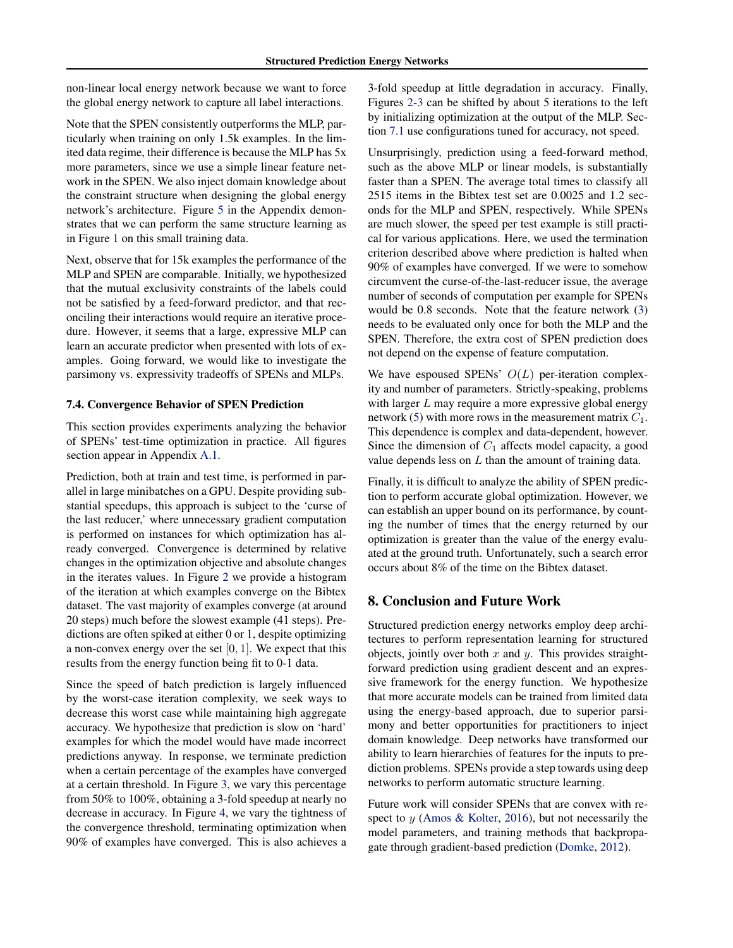non-linear local energy network because we want to force the global energy network to capture all label interactions.

Note that the SPEN consistently outperforms the MLP, particularly when training on only 1.5k examples. In the limited data regime, their difference is because the MLP has 5x more parameters, since we use a simple linear feature network in the SPEN. We also inject domain knowledge about the constraint structure when designing the global energy network's architecture. Figure [5](#page-11-0) in the Appendix demonstrates that we can perform the same structure learning as in Figure [1](#page-6-0) on this small training data.

Next, observe that for 15k examples the performance of the MLP and SPEN are comparable. Initially, we hypothesized that the mutual exclusivity constraints of the labels could not be satisfied by a feed-forward predictor, and that reconciling their interactions would require an iterative procedure. However, it seems that a large, expressive MLP can learn an accurate predictor when presented with lots of examples. Going forward, we would like to investigate the parsimony vs. expressivity tradeoffs of SPENs and MLPs.

#### 7.4. Convergence Behavior of SPEN Prediction

This section provides experiments analyzing the behavior of SPENs' test-time optimization in practice. All figures section appear in Appendix [A.1.](#page-10-0)

Prediction, both at train and test time, is performed in parallel in large minibatches on a GPU. Despite providing substantial speedups, this approach is subject to the 'curse of the last reducer,' where unnecessary gradient computation is performed on instances for which optimization has already converged. Convergence is determined by relative changes in the optimization objective and absolute changes in the iterates values. In Figure [2](#page-10-0) we provide a histogram of the iteration at which examples converge on the Bibtex dataset. The vast majority of examples converge (at around 20 steps) much before the slowest example (41 steps). Predictions are often spiked at either 0 or 1, despite optimizing a non-convex energy over the set  $[0, 1]$ . We expect that this results from the energy function being fit to 0-1 data.

Since the speed of batch prediction is largely influenced by the worst-case iteration complexity, we seek ways to decrease this worst case while maintaining high aggregate accuracy. We hypothesize that prediction is slow on 'hard' examples for which the model would have made incorrect predictions anyway. In response, we terminate prediction when a certain percentage of the examples have converged at a certain threshold. In Figure [3,](#page-10-0) we vary this percentage from 50% to 100%, obtaining a 3-fold speedup at nearly no decrease in accuracy. In Figure [4,](#page-10-0) we vary the tightness of the convergence threshold, terminating optimization when 90% of examples have converged. This is also achieves a

3-fold speedup at little degradation in accuracy. Finally, Figures [2-3](#page-10-0) can be shifted by about 5 iterations to the left by initializing optimization at the output of the MLP. Section [7.1](#page-5-0) use configurations tuned for accuracy, not speed.

Unsurprisingly, prediction using a feed-forward method, such as the above MLP or linear models, is substantially faster than a SPEN. The average total times to classify all 2515 items in the Bibtex test set are 0.0025 and 1.2 seconds for the MLP and SPEN, respectively. While SPENs are much slower, the speed per test example is still practical for various applications. Here, we used the termination criterion described above where prediction is halted when 90% of examples have converged. If we were to somehow circumvent the curse-of-the-last-reducer issue, the average number of seconds of computation per example for SPENs would be 0.8 seconds. Note that the feature network [\(3\)](#page-2-0) needs to be evaluated only once for both the MLP and the SPEN. Therefore, the extra cost of SPEN prediction does not depend on the expense of feature computation.

We have espoused SPENs'  $O(L)$  per-iteration complexity and number of parameters. Strictly-speaking, problems with larger  $L$  may require a more expressive global energy network [\(5\)](#page-2-0) with more rows in the measurement matrix  $C_1$ . This dependence is complex and data-dependent, however. Since the dimension of  $C_1$  affects model capacity, a good value depends less on  $L$  than the amount of training data.

Finally, it is difficult to analyze the ability of SPEN prediction to perform accurate global optimization. However, we can establish an upper bound on its performance, by counting the number of times that the energy returned by our optimization is greater than the value of the energy evaluated at the ground truth. Unfortunately, such a search error occurs about 8% of the time on the Bibtex dataset.

### 8. Conclusion and Future Work

Structured prediction energy networks employ deep architectures to perform representation learning for structured objects, jointly over both x and y. This provides straightforward prediction using gradient descent and an expressive framework for the energy function. We hypothesize that more accurate models can be trained from limited data using the energy-based approach, due to superior parsimony and better opportunities for practitioners to inject domain knowledge. Deep networks have transformed our ability to learn hierarchies of features for the inputs to prediction problems. SPENs provide a step towards using deep networks to perform automatic structure learning.

Future work will consider SPENs that are convex with respect to  $y$  [\(Amos & Kolter,](#page-8-0) [2016\)](#page-8-0), but not necessarily the model parameters, and training methods that backpropagate through gradient-based prediction [\(Domke,](#page-8-0) [2012\)](#page-8-0).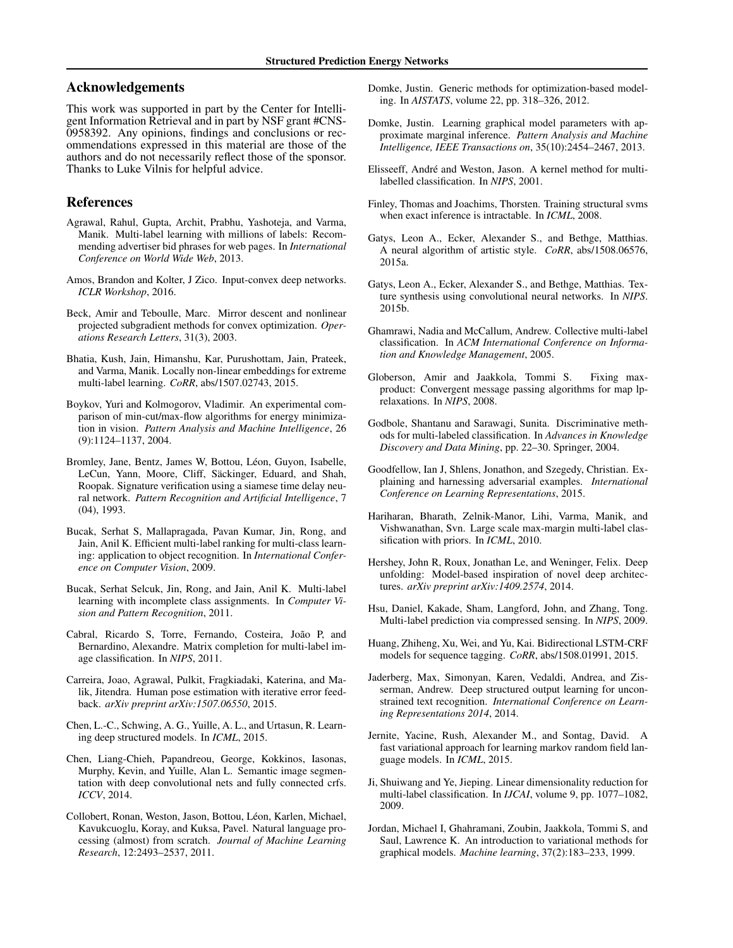# <span id="page-8-0"></span>Acknowledgements

This work was supported in part by the Center for Intelligent Information Retrieval and in part by NSF grant #CNS-0958392. Any opinions, findings and conclusions or recommendations expressed in this material are those of the authors and do not necessarily reflect those of the sponsor. Thanks to Luke Vilnis for helpful advice.

#### References

- Agrawal, Rahul, Gupta, Archit, Prabhu, Yashoteja, and Varma, Manik. Multi-label learning with millions of labels: Recommending advertiser bid phrases for web pages. In *International Conference on World Wide Web*, 2013.
- Amos, Brandon and Kolter, J Zico. Input-convex deep networks. *ICLR Workshop*, 2016.
- Beck, Amir and Teboulle, Marc. Mirror descent and nonlinear projected subgradient methods for convex optimization. *Operations Research Letters*, 31(3), 2003.
- Bhatia, Kush, Jain, Himanshu, Kar, Purushottam, Jain, Prateek, and Varma, Manik. Locally non-linear embeddings for extreme multi-label learning. *CoRR*, abs/1507.02743, 2015.
- Boykov, Yuri and Kolmogorov, Vladimir. An experimental comparison of min-cut/max-flow algorithms for energy minimization in vision. *Pattern Analysis and Machine Intelligence*, 26 (9):1124–1137, 2004.
- Bromley, Jane, Bentz, James W, Bottou, Léon, Guyon, Isabelle, LeCun, Yann, Moore, Cliff, Säckinger, Eduard, and Shah, Roopak. Signature verification using a siamese time delay neural network. *Pattern Recognition and Artificial Intelligence*, 7 (04), 1993.
- Bucak, Serhat S, Mallapragada, Pavan Kumar, Jin, Rong, and Jain, Anil K. Efficient multi-label ranking for multi-class learning: application to object recognition. In *International Conference on Computer Vision*, 2009.
- Bucak, Serhat Selcuk, Jin, Rong, and Jain, Anil K. Multi-label learning with incomplete class assignments. In *Computer Vision and Pattern Recognition*, 2011.
- Cabral, Ricardo S, Torre, Fernando, Costeira, João P, and Bernardino, Alexandre. Matrix completion for multi-label image classification. In *NIPS*, 2011.
- Carreira, Joao, Agrawal, Pulkit, Fragkiadaki, Katerina, and Malik, Jitendra. Human pose estimation with iterative error feedback. *arXiv preprint arXiv:1507.06550*, 2015.
- Chen, L.-C., Schwing, A. G., Yuille, A. L., and Urtasun, R. Learning deep structured models. In *ICML*, 2015.
- Chen, Liang-Chieh, Papandreou, George, Kokkinos, Iasonas, Murphy, Kevin, and Yuille, Alan L. Semantic image segmentation with deep convolutional nets and fully connected crfs. *ICCV*, 2014.
- Collobert, Ronan, Weston, Jason, Bottou, Léon, Karlen, Michael, Kavukcuoglu, Koray, and Kuksa, Pavel. Natural language processing (almost) from scratch. *Journal of Machine Learning Research*, 12:2493–2537, 2011.
- Domke, Justin. Generic methods for optimization-based modeling. In *AISTATS*, volume 22, pp. 318–326, 2012.
- Domke, Justin. Learning graphical model parameters with approximate marginal inference. *Pattern Analysis and Machine Intelligence, IEEE Transactions on*, 35(10):2454–2467, 2013.
- Elisseeff, André and Weston, Jason. A kernel method for multilabelled classification. In *NIPS*, 2001.
- Finley, Thomas and Joachims, Thorsten. Training structural svms when exact inference is intractable. In *ICML*, 2008.
- Gatys, Leon A., Ecker, Alexander S., and Bethge, Matthias. A neural algorithm of artistic style. *CoRR*, abs/1508.06576, 2015a.
- Gatys, Leon A., Ecker, Alexander S., and Bethge, Matthias. Texture synthesis using convolutional neural networks. In *NIPS*. 2015b.
- Ghamrawi, Nadia and McCallum, Andrew. Collective multi-label classification. In *ACM International Conference on Information and Knowledge Management*, 2005.
- Globerson, Amir and Jaakkola, Tommi S. Fixing maxproduct: Convergent message passing algorithms for map lprelaxations. In *NIPS*, 2008.
- Godbole, Shantanu and Sarawagi, Sunita. Discriminative methods for multi-labeled classification. In *Advances in Knowledge Discovery and Data Mining*, pp. 22–30. Springer, 2004.
- Goodfellow, Ian J, Shlens, Jonathon, and Szegedy, Christian. Explaining and harnessing adversarial examples. *International Conference on Learning Representations*, 2015.
- Hariharan, Bharath, Zelnik-Manor, Lihi, Varma, Manik, and Vishwanathan, Svn. Large scale max-margin multi-label classification with priors. In *ICML*, 2010.
- Hershey, John R, Roux, Jonathan Le, and Weninger, Felix. Deep unfolding: Model-based inspiration of novel deep architectures. *arXiv preprint arXiv:1409.2574*, 2014.
- Hsu, Daniel, Kakade, Sham, Langford, John, and Zhang, Tong. Multi-label prediction via compressed sensing. In *NIPS*, 2009.
- Huang, Zhiheng, Xu, Wei, and Yu, Kai. Bidirectional LSTM-CRF models for sequence tagging. *CoRR*, abs/1508.01991, 2015.
- Jaderberg, Max, Simonyan, Karen, Vedaldi, Andrea, and Zisserman, Andrew. Deep structured output learning for unconstrained text recognition. *International Conference on Learning Representations 2014*, 2014.
- Jernite, Yacine, Rush, Alexander M., and Sontag, David. A fast variational approach for learning markov random field language models. In *ICML*, 2015.
- Ji, Shuiwang and Ye, Jieping. Linear dimensionality reduction for multi-label classification. In *IJCAI*, volume 9, pp. 1077–1082, 2009.
- Jordan, Michael I, Ghahramani, Zoubin, Jaakkola, Tommi S, and Saul, Lawrence K. An introduction to variational methods for graphical models. *Machine learning*, 37(2):183–233, 1999.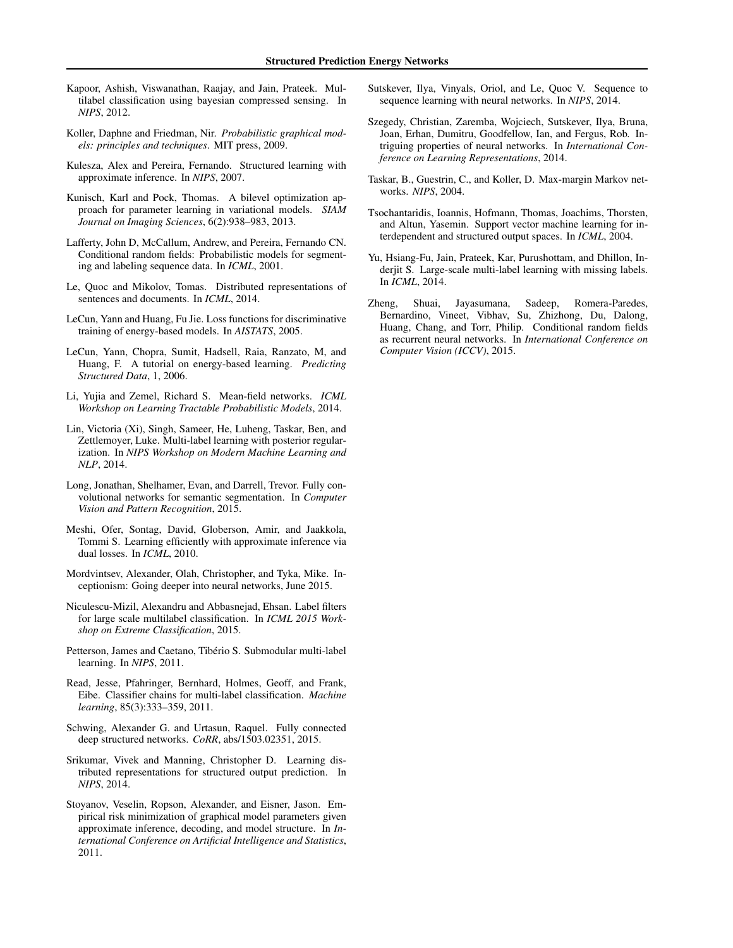- <span id="page-9-0"></span>Kapoor, Ashish, Viswanathan, Raajay, and Jain, Prateek. Multilabel classification using bayesian compressed sensing. In *NIPS*, 2012.
- Koller, Daphne and Friedman, Nir. *Probabilistic graphical models: principles and techniques*. MIT press, 2009.
- Kulesza, Alex and Pereira, Fernando. Structured learning with approximate inference. In *NIPS*, 2007.
- Kunisch, Karl and Pock, Thomas. A bilevel optimization approach for parameter learning in variational models. *SIAM Journal on Imaging Sciences*, 6(2):938–983, 2013.
- Lafferty, John D, McCallum, Andrew, and Pereira, Fernando CN. Conditional random fields: Probabilistic models for segmenting and labeling sequence data. In *ICML*, 2001.
- Le, Quoc and Mikolov, Tomas. Distributed representations of sentences and documents. In *ICML*, 2014.
- LeCun, Yann and Huang, Fu Jie. Loss functions for discriminative training of energy-based models. In *AISTATS*, 2005.
- LeCun, Yann, Chopra, Sumit, Hadsell, Raia, Ranzato, M, and Huang, F. A tutorial on energy-based learning. *Predicting Structured Data*, 1, 2006.
- Li, Yujia and Zemel, Richard S. Mean-field networks. *ICML Workshop on Learning Tractable Probabilistic Models*, 2014.
- Lin, Victoria (Xi), Singh, Sameer, He, Luheng, Taskar, Ben, and Zettlemoyer, Luke. Multi-label learning with posterior regularization. In *NIPS Workshop on Modern Machine Learning and NLP*, 2014.
- Long, Jonathan, Shelhamer, Evan, and Darrell, Trevor. Fully convolutional networks for semantic segmentation. In *Computer Vision and Pattern Recognition*, 2015.
- Meshi, Ofer, Sontag, David, Globerson, Amir, and Jaakkola, Tommi S. Learning efficiently with approximate inference via dual losses. In *ICML*, 2010.
- Mordvintsev, Alexander, Olah, Christopher, and Tyka, Mike. Inceptionism: Going deeper into neural networks, June 2015.
- Niculescu-Mizil, Alexandru and Abbasnejad, Ehsan. Label filters for large scale multilabel classification. In *ICML 2015 Workshop on Extreme Classification*, 2015.
- Petterson, James and Caetano, Tibério S. Submodular multi-label learning. In *NIPS*, 2011.
- Read, Jesse, Pfahringer, Bernhard, Holmes, Geoff, and Frank, Eibe. Classifier chains for multi-label classification. *Machine learning*, 85(3):333–359, 2011.
- Schwing, Alexander G. and Urtasun, Raquel. Fully connected deep structured networks. *CoRR*, abs/1503.02351, 2015.
- Srikumar, Vivek and Manning, Christopher D. Learning distributed representations for structured output prediction. In *NIPS*, 2014.
- Stoyanov, Veselin, Ropson, Alexander, and Eisner, Jason. Empirical risk minimization of graphical model parameters given approximate inference, decoding, and model structure. In *International Conference on Artificial Intelligence and Statistics*, 2011.
- Sutskever, Ilya, Vinyals, Oriol, and Le, Quoc V. Sequence to sequence learning with neural networks. In *NIPS*, 2014.
- Szegedy, Christian, Zaremba, Wojciech, Sutskever, Ilya, Bruna, Joan, Erhan, Dumitru, Goodfellow, Ian, and Fergus, Rob. Intriguing properties of neural networks. In *International Conference on Learning Representations*, 2014.
- Taskar, B., Guestrin, C., and Koller, D. Max-margin Markov networks. *NIPS*, 2004.
- Tsochantaridis, Ioannis, Hofmann, Thomas, Joachims, Thorsten, and Altun, Yasemin. Support vector machine learning for interdependent and structured output spaces. In *ICML*, 2004.
- Yu, Hsiang-Fu, Jain, Prateek, Kar, Purushottam, and Dhillon, Inderjit S. Large-scale multi-label learning with missing labels. In *ICML*, 2014.
- Zheng, Shuai, Jayasumana, Sadeep, Romera-Paredes, Bernardino, Vineet, Vibhav, Su, Zhizhong, Du, Dalong, Huang, Chang, and Torr, Philip. Conditional random fields as recurrent neural networks. In *International Conference on Computer Vision (ICCV)*, 2015.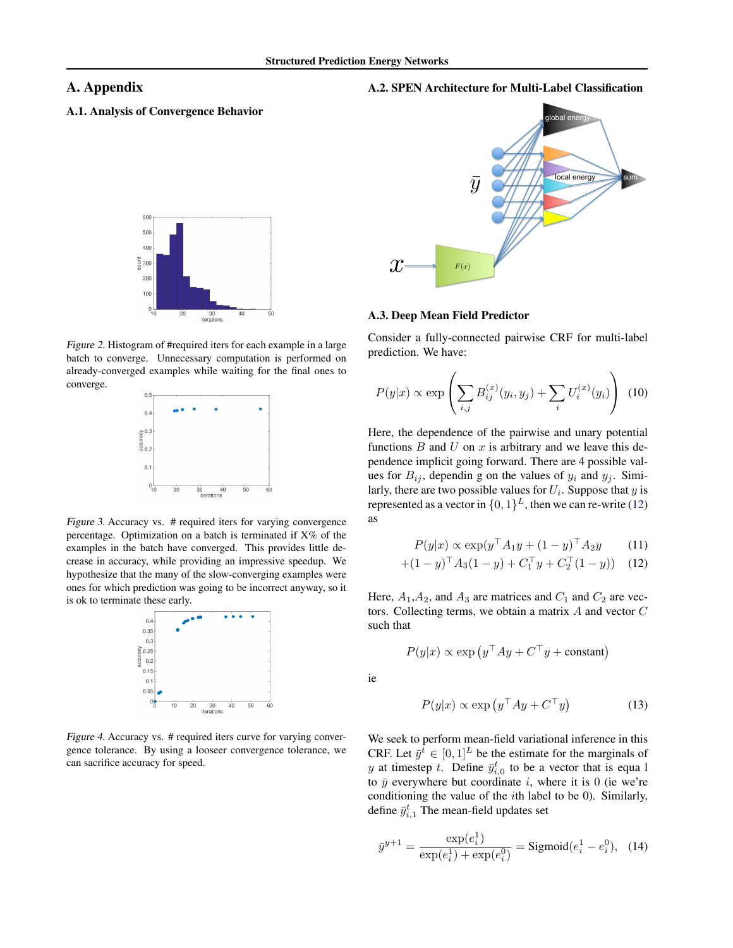ie

# <span id="page-10-0"></span>A. Appendix

# A.1. Analysis of Convergence Behavior



Figure 2. Histogram of #required iters for each example in a large batch to converge. Unnecessary computation is performed on already-converged examples while waiting for the final ones to converge.



Figure 3. Accuracy vs. # required iters for varying convergence percentage. Optimization on a batch is terminated if  $X\%$  of the examples in the batch have converged. This provides little decrease in accuracy, while providing an impressive speedup. We hypothesize that the many of the slow-converging examples were ones for which prediction was going to be incorrect anyway, so it is ok to terminate these early.



Figure 4. Accuracy vs. # required iters curve for varying convergence tolerance. By using a looseer convergence tolerance, we can sacrifice accuracy for speed.





#### A.3. Deep Mean Field Predictor

Consider a fully-connected pairwise CRF for multi-label prediction. We have:

$$
P(y|x) \propto \exp \left( \sum_{i,j} B_{ij}^{(x)}(y_i, y_j) + \sum_i U_i^{(x)}(y_i) \right) (10)
$$

Here, the dependence of the pairwise and unary potential functions  $B$  and  $U$  on  $x$  is arbitrary and we leave this dependence implicit going forward. There are 4 possible values for  $B_{ij}$ , dependin g on the values of  $y_i$  and  $y_j$ . Similarly, there are two possible values for  $U_i$ . Suppose that  $y$  is represented as a vector in  $\{0,1\}^L$ , then we can re-write (12) as

$$
P(y|x) \propto \exp(y^\top A_1 y + (1 - y)^\top A_2 y \quad (11)
$$

$$
+(1-y)^{\top}A_3(1-y) + C_1^{\top}y + C_2^{\top}(1-y)) \quad (12)
$$

Here,  $A_1, A_2$ , and  $A_3$  are matrices and  $C_1$  and  $C_2$  are vectors. Collecting terms, we obtain a matrix A and vector C such that

$$
P(y|x) \propto \exp(y^{\top}Ay + C^{\top}y + \text{constant})
$$

$$
P(y|x) \propto \exp(y^{\top}Ay + C^{\top}y)
$$
(13)

We seek to perform mean-field variational inference in this CRF. Let  $\bar{y}^t \in [0,1]^L$  be the estimate for the marginals of y at timestep t. Define  $\bar{y}_{i,0}^t$  to be a vector that is equal to  $\bar{y}$  everywhere but coordinate i, where it is 0 (ie we're conditioning the value of the ith label to be 0). Similarly, define  $\bar{y}_{i,1}^t$  The mean-field updates set

$$
\bar{y}^{y+1} = \frac{\exp(e_i^1)}{\exp(e_i^1) + \exp(e_i^0)} = \text{Sigmoid}(e_i^1 - e_i^0), \quad (14)
$$